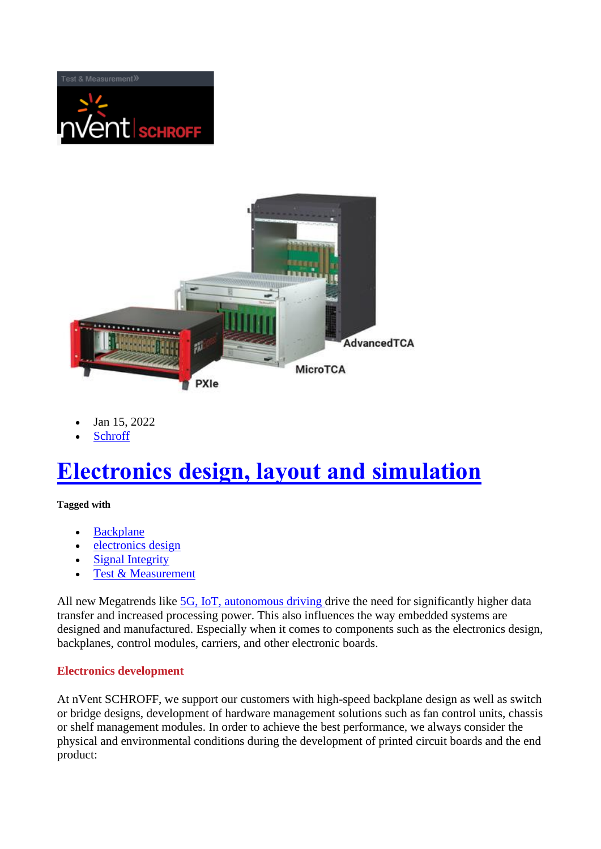



- Jan 15, 2022
- **Schroff**

## **[Electronics design, layout and simulation](https://blog.nvent.com/electronics-design-layout-and-simulation/)**

## **Tagged with**

- [Backplane](https://blog.nvent.com/tag/backplane/?cat=38)
- [electronics](https://blog.nvent.com/tag/electronics-design/?cat=38) design
- [Signal Integrity](https://blog.nvent.com/tag/signal-integrity/?cat=38)
- [Test & Measurement](https://blog.nvent.com/tag/test-measurement/?cat=38)

All new Megatrends like [5G, IoT, autonomous driving d](https://blog.nvent.com/schroff/5g-iiot-and-autonomous-driving-changing-requirements-for-test-and-measurement-equipment/)rive the need for significantly higher data transfer and increased processing power. This also influences the way embedded systems are designed and manufactured. Especially when it comes to components such as the electronics design, backplanes, control modules, carriers, and other electronic boards.

## **Electronics development**

At nVent SCHROFF, we support our customers with high-speed backplane design as well as switch or bridge designs, development of hardware management solutions such as fan control units, chassis or shelf management modules. In order to achieve the best performance, we always consider the physical and environmental conditions during the development of printed circuit boards and the end product: